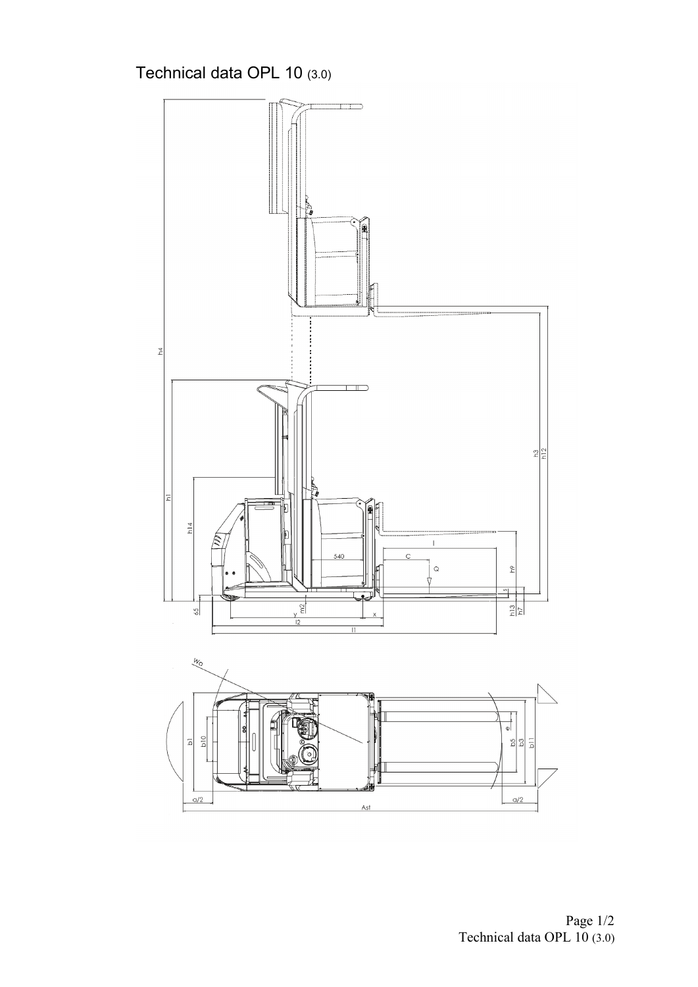Technical data OPL 10 (3.0)